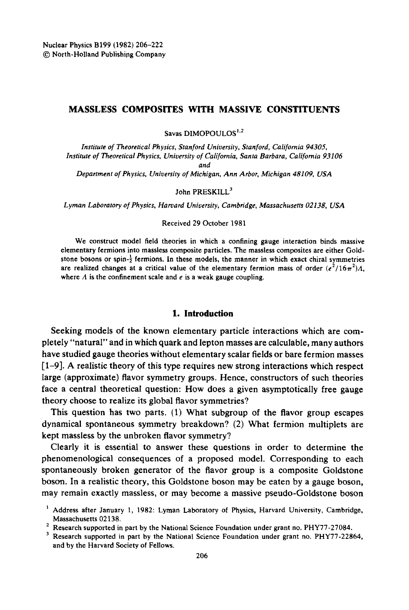# MASSLESS COMPOSITES WITH MASSIVE CONSTITUENTS

Savas DIMOPOULOS $^{1,2}$ 

*Institute o/Theoretical Physics, Stanford University, Stanford, Cali/ornia 94305, Institute of Theoretical Physics, University o/California, Santa Barbara, California 93106 and* 

*Department o/Physics, University o/Michigan, Ann Arbor, Michigan 48109, USA* 

# John PRESKILL<sup>3</sup>

*Lyman Laboratory o/Physics, Harvard University, Cambridge, Massachusetts 02138, USA* 

#### Received 29 October 1981

We construct model field theories in which a confining gauge interaction binds massive elementary fermions into massless composite particles. The massless composites are either Goldstone bosons or spin- $\frac{1}{2}$  fermions. In these models, the manner in which exact chiral symmetries are realized changes at a critical value of the elementary fermion mass of order  $(e^2/16\pi^2)\Lambda$ . where  $\Lambda$  is the confinement scale and  $e$  is a weak gauge coupling.

#### **1. Introduction**

Seeking models of the known elementary particle interactions which are completely "natural" and in which quark and lepton masses are calculable, many authors have studied gauge theories without elementary scalar fields or bare fermion masses  $[1-9]$ . A realistic theory of this type requires new strong interactions which respect large (approximate) flavor symmetry groups. Hence, constructors of such theories face a central theoretical question: How does a given asymptotically free gauge theory choose to realize its global flavor symmetries?

This question has two parts. (1) What subgroup of the flavor group escapes dynamical spontaneous symmetry breakdown? (2) What fermion multiplets are kept massless by the unbroken flavor symmetry?

Clearly it is essential to answer these questions in order to determine the phenomenologicai consequences of a proposed model. Corresponding to each spontaneously broken generator of the flavor group is a composite Goldstone boson. In a realistic theory, this Goldstone boson may be eaten by a gauge boson, may remain exactly massless, or may become a massive pseudo-Goldstone boson

<sup>&</sup>lt;sup>1</sup> Address after January 1, 1982: Lyman Laboratory of Physics, Harvard University, Cambridge, Massachusetts 02138.

<sup>&</sup>lt;sup>2</sup> Research supported in part by the National Science Foundation under grant no. PHY77-27084.

<sup>&</sup>lt;sup>3</sup> Research supported in part by the National Science Foundation under grant no. PHY77-22864, and by the Harvard Society of Fellows.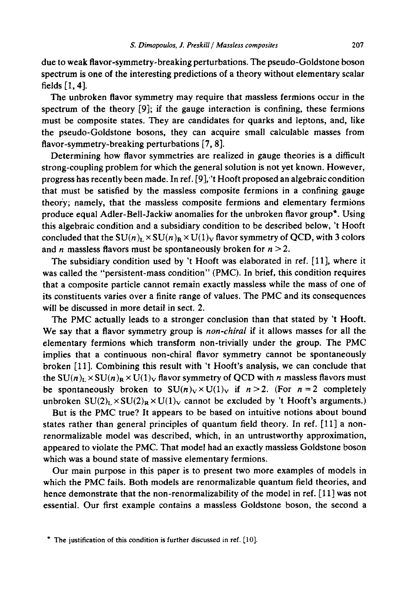due to weak flavor-symmetry-breaking perturbations. The pseudo-Goldstone boson spectrum is one of the interesting predictions of a theory without elementary scalar fields [1, 4].

The unbroken flavor symmetry may require that massless fermions occur in the spectrum of the theory [9]; if the gauge interaction is confining, these fermions must be composite states. They are candidates for quarks and leptons, and, like the pseudo-Goldstone bosons, they can acquire small calculable masses from flavor-symmetry-breaking perturbations [7, 8].

Determining how flavor symmetries are realized in gauge theories is a difficult strong-coupling problem for which the general solution is not yet known. However, progress has recently been made. In ref. [9];'t Hooft proposed an algebraic condition that must be satisfied by the massless composite fermions in a confining gauge theory; namely, that the massless composite fermions and elementary fermions produce equal Adler-Bell-Jackiw anomalies for the unbroken flavor group\*. Using this algebraic condition and a subsidiary condition to be described below, 't Hooft concluded that the  $SU(n)_L \times SU(n)_R \times U(1)_V$  flavor symmetry of QCD, with 3 colors and *n* massless flavors must be spontaneously broken for  $n > 2$ .

The subsidiary condition used by 't Hooft was elaborated in ref. [11], where it was called the "persistent-mass condition" (PMC). In brief, this condition requires that a composite particle cannot remain exactly massless while the mass of one of its constituents varies over a finite range of values. The PMC and its consequences will be discussed in more detail in sect. 2.

The PMC actually leads to a stronger conclusion than that stated by 't Hooft. We say that a flavor symmetry group is *non-chiral* if it allows masses for all the elementary fermions which transform non-trivially under the group. The PMC implies that a continuous non-chiral flavor symmetry cannot be spontaneously broken [11]. Combining this result with 't Hooft's analysis, we can conclude that the  $SU(n)_L \times SU(n)_R \times U(1)_V$  flavor symmetry of QCD with n massless flavors must be spontaneously broken to  $SU(n)_V \times U(1)_V$  if  $n > 2$ . (For  $n = 2$  completely unbroken  $SU(2)_L \times SU(2)_R \times U(1)_V$  cannot be excluded by 't Hooft's arguments.)

But is the PMC true? It appears to be based on intuitive notions about bound states rather than general principles of quantum field theory. In ref. [11] a nonrenormalizable model was described, which, in an untrustworthy approximation, appeared to violate the PMC. That model had an exactly massless Goldstone boson which was a bound state of massive elementary fermions.

Our main purpose in this paper is to present two more examples of models in which the PMC fails. Both models are renormalizable quantum field theories, and hence demonstrate that the non-renormalizability of the model in ref. [11] was not essential. Our first example contains a massless Goldstone boson, the second a

<sup>\*</sup> The justification of this condition is further discussed in ref. [10].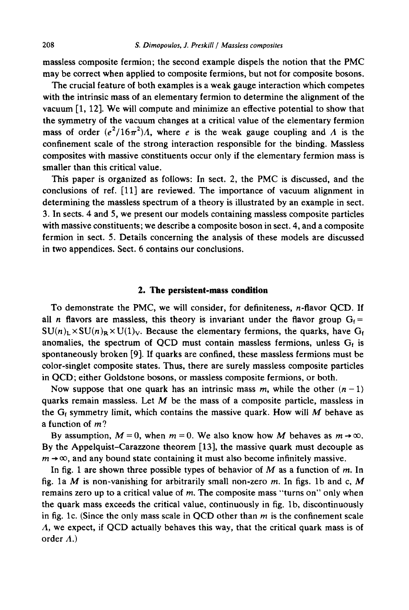massless composite fermion; the second example dispels the notion that the PMC may be correct when applied to composite fermions, but not for composite bosons.

The crucial feature of both examples is a weak gauge interaction which competes with the intrinsic mass of an elementary fermion to determine the alignment of the vacuum [1, 12]. We will compute and minimize an effective potential to show that the symmetry of the vacuum changes at a critical value of the elementary fermion mass of order  $(e^2/16\pi^2)$ *A*, where *e* is the weak gauge coupling and *A* is the confinement scale of the strong interaction responsible for the binding. Massless composites with massive constituents occur only if the elementary fermion mass is smaller than this critical value.

This paper is organized as follows: In sect. 2, the PMC is discussed, and the conclusions of ref. [11] are reviewed. The importance of vacuum alignment in determining the massless spectrum of a theory is illustrated by an example in sect. 3. In sects. 4 and 5, we present our models containing massless composite particles with massive constituents; we describe a composite boson in sect. 4, and a composite fermion in sect. 5. Details concerning the analysis of these models are discussed in two appendices. Sect. 6 contains our conclusions.

# **2. The persistent-mass condition**

To demonstrate the PMC, we will consider, for definiteness, n-flavor OCD. If all n flavors are massless, this theory is invariant under the flavor group  $G_f =$  $SU(n)_L \times SU(n)_R \times U(1)_V$ . Because the elementary fermions, the quarks, have G<sub>f</sub> anomalies, the spectrum of QCD must contain massless fermions, unless  $G_f$  is spontaneously broken [9]. If quarks are confined, these massless fermions must be color-singlet composite states. Thus, there are surely massless composite particles in QCD; either Goldstone bosons, or massless composite fermions, or both.

Now suppose that one quark has an intrinsic mass m, while the other  $(n - 1)$ quarks remain massless. Let  $M$  be the mass of a composite particle, massless in the  $G_f$  symmetry limit, which contains the massive quark. How will M behave as a function of  $m$ ?

By assumption,  $M = 0$ , when  $m = 0$ . We also know how M behaves as  $m \rightarrow \infty$ . By the Appelquist-Carazzone theorem [13], the massive quark must decouple as  $m \rightarrow \infty$ , and any bound state containing it must also become infinitely massive.

In fig. 1 are shown three possible types of behavior of  $M$  as a function of  $m$ . In fig. 1a M is non-vanishing for arbitrarily small non-zero m. In figs. 1b and c, M remains zero up to a critical value of  $m$ . The composite mass "turns on" only when the quark mass exceeds the critical value, continuously in fig. lb, discontinuously in fig. 1c. (Since the only mass scale in QCD other than  $m$  is the confinement scale A, we expect, if QCD actually behaves this way, that the critical quark mass is of order  $\Lambda$ .)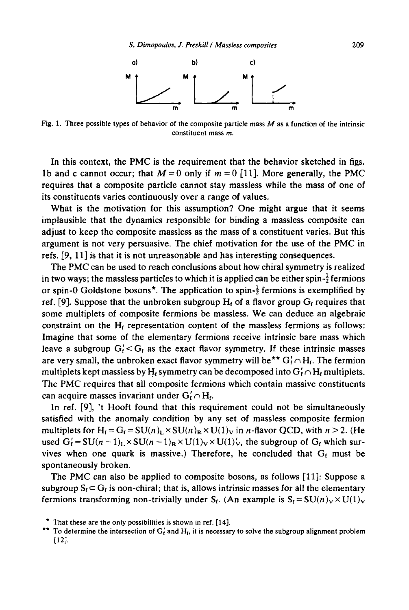

Fig. 1. Three possible types of behavior of the composite particle mass  $M$  as a function of the intrinsic constituent mass m.

In this context, the PMC is the requirement that the behavior sketched in figs. 1b and c cannot occur; that  $M = 0$  only if  $m = 0$  [11]. More generally, the PMC requires that a composite particle cannot stay massless while the mass of one of its constituents varies continuously over a range of values.

What is the motivation for this assumption? One might argue that it seems implausible that the dynamics responsible for binding a massless composite can adjust to keep the composite massless as the mass of a constituent varies. But this argument is not very persuasive. The chief motivation for the use of the PMC in refs. [9, 11] is that it is not unreasonable and has interesting consequences.

The PMC can be used to reach conclusions about how chiral symmetry is realized in two ways; the massless particles to which it is applied can be either spin- $\frac{1}{2}$  fermions or spin-0 Goldstone bosons<sup>\*</sup>. The application to spin- $\frac{1}{2}$  fermions is exemplified by ref. [9]. Suppose that the unbroken subgroup  $H_f$  of a flavor group  $G_f$  requires that some multiplets of composite fermions be massless. We can deduce an algebraic constraint on the  $H_f$  representation content of the massless fermions as follows: Imagine that some of the elementary fermions receive intrinsic bare mass which leave a subgroup  $G_f' < G_f$  as the exact flavor symmetry. If these intrinsic masses are very small, the unbroken exact flavor symmetry will be<sup>\*\*</sup>  $G_f' \cap H_f$ . The fermion multiplets kept massless by H<sub>t</sub> symmetry can be decomposed into  $G'_f \cap H_f$  multiplets. The PMC requires that all composite fermions which contain massive constituents can acquire masses invariant under  $G'_f \cap H_f$ .

In ref. [9], 't Hooft found that this requirement could not be simultaneously satisfied with the anomaly condition by any set of massless composite fermion multiplets for  $H_f = G_f = SU(n)_L \times SU(n)_R \times U(1)_V$  in *n*-flavor QCD, with  $n > 2$ . (He used  $G_f' = SU(n-1)_L \times SU(n-1)_R \times U(1)_V \times U(1)_V$ , the subgroup of  $G_f$  which survives when one quark is massive.) Therefore, he concluded that  $G_f$  must be spontaneously broken.

The PMC can also be applied to composite bosons, as follows [11]: Suppose a subgroup  $S_f \subset G_f$  is non-chiral; that is, allows intrinsic masses for all the elementary fermions transforming non-trivially under S<sub>t</sub>. (An example is  $S_t = SU(n)_V \times U(1)_V$ 

 $*$  That these are the only possibilities is shown in ref. [14].

<sup>\*\*</sup> To determine the intersection of  $G_t'$  and  $H_t$ , it is necessary to solve the subgroup alignment problem [12].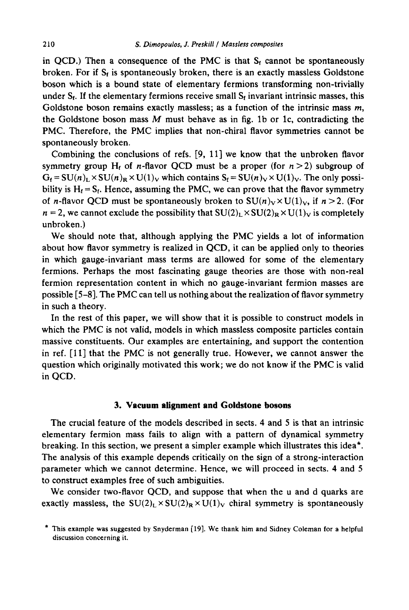in QCD.) Then a consequence of the PMC is that  $S_f$  cannot be spontaneously broken. For if  $S_f$  is spontaneously broken, there is an exactly massless Goldstone boson which is a bound state of elementary fermions transforming non-trivially under  $S_f$ . If the elementary fermions receive small  $S_f$  invariant intrinsic masses, this Goldstone boson remains exactly massless; as a function of the intrinsic mass  $m$ , the Goldstone boson mass  $M$  must behave as in fig. 1b or 1c, contradicting the PMC. Therefore, the PMC implies that non-chiral flavor symmetries cannot be spontaneously broken.

Combining the conclusions of refs. [9, 11] we know that the unbroken flavor symmetry group H<sub>f</sub> of *n*-flavor QCD must be a proper (for  $n > 2$ ) subgroup of  $G_f = SU(n)_L \times SU(n)_R \times U(1)_V$  which contains  $S_f = SU(n)_V \times U(1)_V$ . The only possibility is  $H_f = S_f$ . Hence, assuming the PMC, we can prove that the flavor symmetry of *n*-flavor QCD must be spontaneously broken to  $SU(n)_V \times U(1)_V$ , if  $n > 2$ . (For  $n = 2$ , we cannot exclude the possibility that  $SU(2)_L \times SU(2)_R \times U(1)_V$  is completely unbroken.)

We should note that, although applying the PMC yields a lot of information about how flavor symmetry is realized in QCD, it can be applied only to theories in which gauge-invariant mass terms are allowed for some of the elementary fermions. Perhaps the most fascinating gauge theories are those with non-real fermion representation content in which no gauge-invariant fermion masses are possible [5-8]. The PMC can tell us nothing about the realization of flavor symmetry in such a theory.

In the rest of this paper, we will show that it is possible to construct models in which the PMC is not valid, models in which massless composite particles contain massive constituents. Our examples are entertaining, and support the contention in ref. [11] that the PMC is not generally true. However, we cannot answer the question which originally motivated this work; we do not know if the PMC is valid in QCD.

#### **3. Vacuum alignment and Goldstone bosons**

The crucial feature of the models described in sects. 4 and 5 is that an intrinsic elementary fermion mass fails to align with a pattern of dynamical symmetry breaking. In this section, we present a simpler example which illustrates this idea\*. The analysis of this example depends critically on the sign of a strong-interaction parameter which we cannot determine. Hence, we will proceed in sects. 4 and 5 to construct examples free of such ambiguities.

We consider two-flavor QCD, and suppose that when the u and d quarks are exactly massless, the  $SU(2)_L \times SU(2)_R \times U(1)_V$  chiral symmetry is spontaneously

<sup>\*</sup> This example was suggested by Snyderman [19]. We thank him and Sidney Coleman for a helpful discussion concerning it.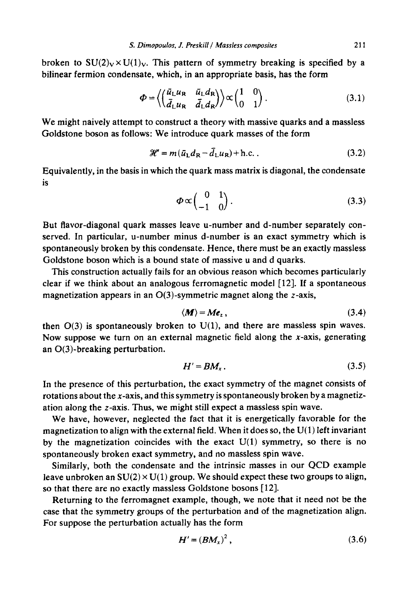broken to  $SU(2)_V \times U(1)_V$ . This pattern of symmetry breaking is specified by a bilinear fermion condensate, which, in an appropriate basis, has the form

$$
\Phi = \left\langle \begin{pmatrix} \bar{u}_{\rm L} u_{\rm R} & \bar{u}_{\rm L} d_{\rm R} \\ \bar{d}_{\rm L} u_{\rm R} & \bar{d}_{\rm L} d_{\rm R} \end{pmatrix} \right\rangle \propto \begin{pmatrix} 1 & 0 \\ 0 & 1 \end{pmatrix} . \tag{3.1}
$$

We might naively attempt to construct a theory with massive quarks and a massless Goldstone boson as follows: We introduce quark masses of the form

$$
\mathcal{H} = m(\bar{u}_L d_R - \bar{d}_L u_R) + \text{h.c.} \tag{3.2}
$$

Equivalently, in the basis in which the quark mass matrix is diagonal, the condensate is

$$
\boldsymbol{\Phi} \propto \begin{pmatrix} 0 & 1 \\ -1 & 0 \end{pmatrix} . \tag{3.3}
$$

But flavor-diagonal quark masses leave u-number and d-number separately conserved. In particular, u-number minus d-number is an exact symmetry which is spontaneously broken by this condensate. Hence, there must be an exactly massless Goldstone boson which is a bound state of massive u and d quarks.

This construction actually fails for an obvious reason which becomes particularly clear if we think about an analogous ferromagnetic model [12]. If a spontaneous magnetization appears in an  $O(3)$ -symmetric magnet along the z-axis,

$$
\langle M \rangle = Me_z \,, \tag{3.4}
$$

then  $O(3)$  is spontaneously broken to  $U(1)$ , and there are massless spin waves. Now suppose we turn on an external magnetic field along the x-axis, generating an O(3)-breaking perturbation.

$$
H' = BM_x. \tag{3.5}
$$

In the presence of this perturbation, the exact symmetry of the magnet consists of rotations about the x-axis, and this symmetry is spontaneously broken by a magnetization along the z-axis. Thus, we might still expect a massless spin wave.

We have, however, neglected the fact that it is energetically favorable for the magnetization to align with the external field. When it does so, the  $U(1)$  left invariant by the magnetization coincides with the exact  $U(1)$  symmetry, so there is no spontaneously broken exact symmetry, and no massless spin wave.

Similarly, both the condensate and the intrinsic masses in our QCD example leave unbroken an  $SU(2) \times U(1)$  group. We should expect these two groups to align, so that there are no exactly massless Goldstone bosons [12].

Returning to the ferromagnet example, though, we note that it need not be the case that the symmetry groups of the perturbation and of the magnetization align. For suppose the perturbation actually has the form

$$
H' = (BM_x)^2, \tag{3.6}
$$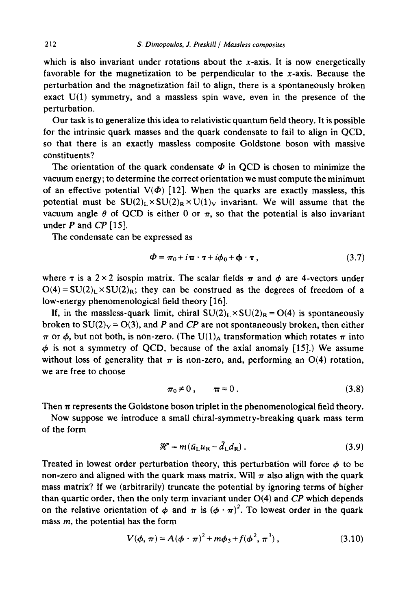which is also invariant under rotations about the  $x$ -axis. It is now energetically favorable for the magnetization to be perpendicular to the  $x$ -axis. Because the perturbation and the magnetization fail to align, there is a spontaneously broken exact  $U(1)$  symmetry, and a massless spin wave, even in the presence of the perturbation.

Our task is to generalize this idea to relativistic quantum field theory. It is possible for the intrinsic quark masses and the quark condensate to fail to align in QCD, so that there is an exactly massless composite Goldstone boson with massive constituents?

The orientation of the quark condensate  $\Phi$  in QCD is chosen to minimize the vacuum energy; to determine the correct orientation we must compute the minimum of an effective potential  $V(\Phi)$  [12]. When the quarks are exactly massless, this potential must be  $SU(2)_L \times SU(2)_R \times U(1)_V$  invariant. We will assume that the vacuum angle  $\theta$  of QCD is either 0 or  $\pi$ , so that the potential is also invariant under P and *CP* [15].

The condensate can be expressed as

$$
\Phi = \pi_0 + i \pi \cdot \tau + i \phi_0 + \Phi \cdot \tau, \qquad (3.7)
$$

where  $\tau$  is a 2 × 2 isospin matrix. The scalar fields  $\pi$  and  $\phi$  are 4-vectors under  $O(4) = SU(2)_L \times SU(2)_R$ ; they can be construed as the degrees of freedom of a low-energy phenomenological field theory [16].

If, in the massless-quark limit, chiral  $SU(2)<sub>L</sub> \times SU(2)<sub>R</sub> = O(4)$  is spontaneously broken to  $SU(2)_V = O(3)$ , and P and CP are not spontaneously broken, then either  $\pi$  or  $\phi$ , but not both, is non-zero. (The U(1)<sub>A</sub> transformation which rotates  $\pi$  into  $\phi$  is not a symmetry of QCD, because of the axial anomaly [15].) We assume without loss of generality that  $\pi$  is non-zero, and, performing an O(4) rotation, we are free to choose

$$
\pi_0 \neq 0, \qquad \pi = 0. \tag{3.8}
$$

Then  $\pi$  represents the Goldstone boson triplet in the phenomenological field theory.

Now suppose we introduce a small chiral-symmetry-breaking quark mass term of the form

$$
\mathcal{H}' = m(\bar{u}_{\text{L}}u_{\text{R}} - \bar{d}_{\text{L}}d_{\text{R}}) \,. \tag{3.9}
$$

Treated in lowest order perturbation theory, this perturbation will force  $\phi$  to be non-zero and aligned with the quark mass matrix. Will  $\pi$  also align with the quark mass matrix? If we (arbitrarily) truncate the potential by ignoring terms of higher than quartic order, then the only term invariant under 0(4) and *CP* which depends on the relative orientation of  $\phi$  and  $\pi$  is  $(\phi \cdot \pi)^2$ . To lowest order in the quark mass  $m$ , the potential has the form

$$
V(\phi,\,\pi) = A(\phi \cdot \pi)^2 + m\phi_3 + f(\phi^2,\,\pi^3)\,,\tag{3.10}
$$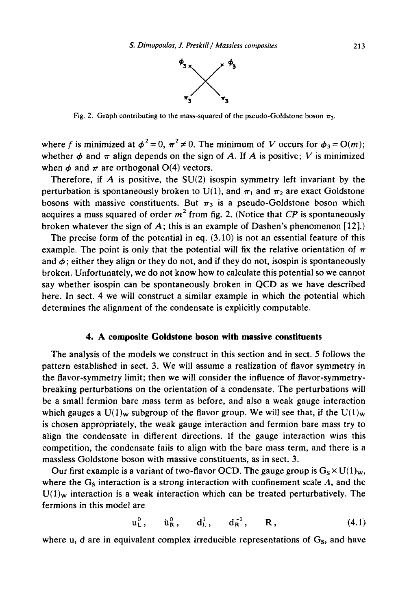

Fig. 2. Graph contributing to the mass-squared of the pseudo-Goldstone boson  $\pi_3$ .

where f is minimized at  $\phi^2 = 0$ ,  $\pi^2 \neq 0$ . The minimum of V occurs for  $\phi_3 = O(m)$ ; whether  $\phi$  and  $\pi$  align depends on the sign of A. If A is positive; V is minimized when  $\phi$  and  $\pi$  are orthogonal O(4) vectors.

Therefore, if  $\vec{A}$  is positive, the SU(2) isospin symmetry left invariant by the perturbation is spontaneously broken to U(1), and  $\pi_1$  and  $\pi_2$  are exact Goldstone bosons with massive constituents. But  $\pi_3$  is a pseudo-Goldstone boson which acquires a mass squared of order  $m^2$  from fig. 2. (Notice that *CP* is spontaneously broken whatever the sign of A; this is an example of Dashen's phenomenon  $[12]$ .)

The precise form of the potential in eq.  $(3.10)$  is not an essential feature of this example. The point is only that the potential will fix the relative orientation of  $\pi$ and  $\phi$ ; either they align or they do not, and if they do not, isospin is spontaneously broken. Unfortunately, we do not know how to calculate this potential so we cannot say whether isospin can be spontaneously broken in QCD as we have described here. In sect. 4 we will construct a similar example in which the potential which determines the alignment of the condensate is explicitly computable.

# **4. A composite Goldstone boson with massive constituents**

The analysis of the models we construct in this section and in sect. 5 follows the pattern established in sect. 3. We will assume a realization of flavor symmetry in the flavor-symmetry limit; then we will consider the influence of flavor-symmetrybreaking perturbations on the orientation of a condensate. The perturbations will be a small fermion bare mass term as before, and also a weak gauge interaction which gauges a  $U(1)_w$  subgroup of the flavor group. We will see that, if the  $U(1)_w$ is chosen appropriately, the weak gauge interaction and fermion bare mass try to align the condensate in different directions. If the gauge interaction wins this competition, the condensate fails to align with the bare mass term, and there is a massless Goldstone boson with massive constituents, as in sect. 3.

Our first example is a variant of two-flavor QCD. The gauge group is  $G_s \times U(1)_w$ , where the  $G<sub>s</sub>$  interaction is a strong interaction with confinement scale  $\Lambda$ , and the  $U(1)_w$  interaction is a weak interaction which can be treated perturbatively. The fermions in this model are

$$
u_{L}^{0}, \t\tilde{u}_{R}^{0}, \t d_{L}^{1}, \t d_{R}^{-1}, \t R, \t(4.1)
$$

where u, d are in equivalent complex irreducible representations of  $G<sub>s</sub>$ , and have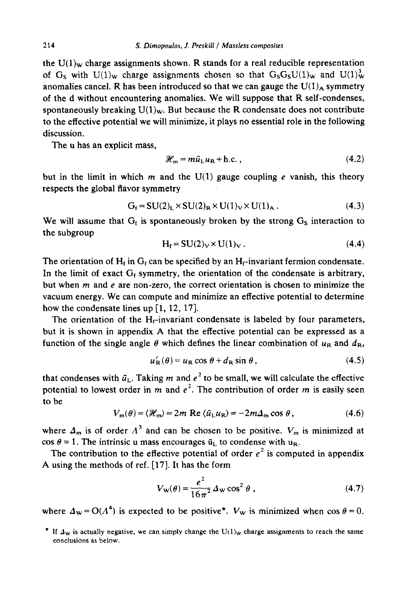the  $U(1)_{w}$  charge assignments shown. R stands for a real reducible representation of G<sub>s</sub> with U(1)<sub>w</sub> charge assignments chosen so that  $G_S G_S U(1)_w$  and U(1)<sup>3</sup><sub>w</sub> anomalies cancel. R has been introduced so that we can gauge the  $U(1)_A$  symmetry of the d without encountering anomalies. We will suppose that R self-condenses, spontaneously breaking  $U(1)_w$ . But because the R condensate does not contribute to the effective potential we will minimize, it plays no essential role in the following discussion.

The u has an explicit mass,

$$
\mathcal{H}_{\mathbf{m}} = m\bar{u}_{\mathsf{L}}u_{\mathsf{R}} + \text{h.c.},\tag{4.2}
$$

but in the limit in which m and the  $U(1)$  gauge coupling e vanish, this theory respects the global flavor symmetry

$$
G_{\mathbf{f}} = SU(2)_{\mathbf{L}} \times SU(2)_{\mathbf{R}} \times U(1)_{\mathbf{V}} \times U(1)_{\mathbf{A}} . \tag{4.3}
$$

We will assume that  $G_f$  is spontaneously broken by the strong  $G_s$  interaction to the subgroup

$$
H_f = SU(2)_V \times U(1)_V. \tag{4.4}
$$

The orientation of  $H_t$  in  $G_t$  can be specified by an  $H_t$ -invariant fermion condensate. In the limit of exact  $G_f$  symmetry, the orientation of the condensate is arbitrary, but when  $m$  and  $e$  are non-zero, the correct orientation is chosen to minimize the vacuum energy. We can compute and minimize an effective potential to determine how the condensate lines up [1, 12, 17].

The orientation of the  $H_f$ -invariant condensate is labeled by four parameters, but it is shown in appendix A that the effective potential can be expressed as a function of the single angle  $\theta$  which defines the linear combination of  $u_R$  and  $d_R$ ,

$$
u'_{R}(\theta) = u_{R} \cos \theta + d_{R} \sin \theta, \qquad (4.5)
$$

that condenses with  $\bar{u}_L$ . Taking m and  $e^2$  to be small, we will calculate the effective potential to lowest order in m and  $e^2$ . The contribution of order m is easily seen to be

$$
V_{\rm m}(\theta) = \langle \mathcal{H}_{\rm m} \rangle = 2m \text{ Re } \langle \bar{u}_{\rm L} u_{\rm R} \rangle = -2m\Delta_{\rm m} \cos \theta, \qquad (4.6)
$$

where  $\Delta_m$  is of order  $\Lambda^3$  and can be chosen to be positive.  $V_m$  is minimized at cos  $\theta = 1$ . The intrinsic u mass encourages  $\bar{u}_1$  to condense with u<sub>R</sub>.

The contribution to the effective potential of order  $e^2$  is computed in appendix A using the methods of ref. [17]. It has the form

$$
V_{\mathbf{w}}(\theta) = \frac{e^2}{16\pi^2} \Delta_{\mathbf{w}} \cos^2 \theta \tag{4.7}
$$

where  $\Delta w = O(A^4)$  is expected to be positive<sup>\*</sup>.  $V_w$  is minimized when cos  $\theta = 0$ .

<sup>\*</sup> If  $\Delta_w$  is actually negative, we can simply change the U(1)<sub>W</sub> charge assignments to reach the same conclusions as below.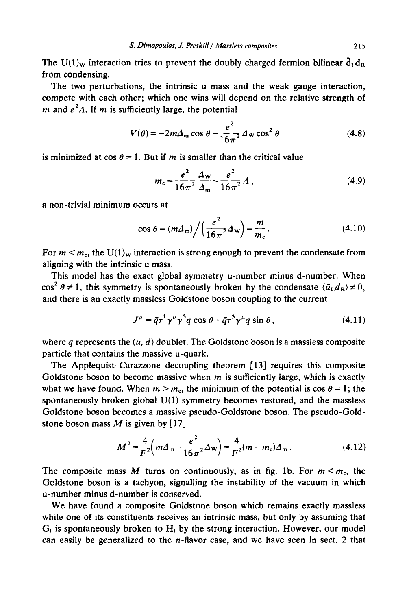The U(1)<sub>w</sub> interaction tries to prevent the doubly charged fermion bilinear  $\bar{d}_L d_R$ from condensing.

The two perturbations, the intrinsic u mass and the weak gauge interaction, compete with each other; which one wins will depend on the relative strength of *m* and  $e^2A$ . If *m* is sufficiently large, the potential

$$
V(\theta) = -2m\Delta_{\rm m} \cos \theta + \frac{e^2}{16\pi^2} \Delta_{\rm w} \cos^2 \theta \tag{4.8}
$$

is minimized at  $cos \theta = 1$ . But if m is smaller than the critical value

$$
m_c = \frac{e^2}{16\pi^2} \frac{\Delta_w}{\Delta_m} \sim \frac{e^2}{16\pi^2} \Lambda,
$$
 (4.9)

a non-trivial minimum occurs at

$$
\cos \theta = (m\Delta_{\rm m}) \bigg/ \bigg( \frac{e^2}{16\pi^2} \Delta_{\rm w} \bigg) = \frac{m}{m_{\rm c}} \,. \tag{4.10}
$$

For  $m < m_c$ , the U(1)<sub>w</sub> interaction is strong enough to prevent the condensate from aligning with the intrinsic u mass.

This model has the exact global symmetry u-number minus d-number. When  $\cos^2 \theta \neq 1$ , this symmetry is spontaneously broken by the condensate  $\langle \bar{u}_L d_R \rangle \neq 0$ , and there is an exactly massless Goldstone boson coupling to the current

$$
J^{\mu} = \bar{q}\tau^{1}\gamma^{\mu}\gamma^{5}q\cos\theta + \bar{q}\tau^{3}\gamma^{\mu}q\sin\theta, \qquad (4.11)
$$

where  $q$  represents the  $(u, d)$  doublet. The Goldstone boson is a massless composite particle that contains the massive u-quark.

The Applequist-Carazzone decoupling theorem [13] requires this composite Goldstone boson to become massive when  $m$  is sufficiently large, which is exactly what we have found. When  $m > m_c$ , the minimum of the potential is  $\cos \theta = 1$ ; the spontaneously broken global  $U(1)$  symmetry becomes restored, and the massless Goldstone boson becomes a massive pseudo-Goldstone boson. The pseudo-Goldstone boson mass  $M$  is given by [17]

$$
M^{2} = \frac{4}{F^{2}} \left( m \Delta_{\mathfrak{m}} - \frac{e^{2}}{16 \pi^{2}} \Delta_{\mathfrak{w}} \right) = \frac{4}{F^{2}} (m - m_{\rm c}) \Delta_{\mathfrak{m}} \,. \tag{4.12}
$$

The composite mass M turns on continuously, as in fig. 1b. For  $m < m<sub>c</sub>$ , the Goldstone boson is a tachyon, signalling the instability of the vacuum in which u-number minus d-number is conserved.

We have found a composite Goldstone boson which remains exactly massless while one of its constituents receives an intrinsic mass, but only by assuming that  $G_t$  is spontaneously broken to  $H_t$  by the strong interaction. However, our model can easily be generalized to the  $n$ -flavor case, and we have seen in sect. 2 that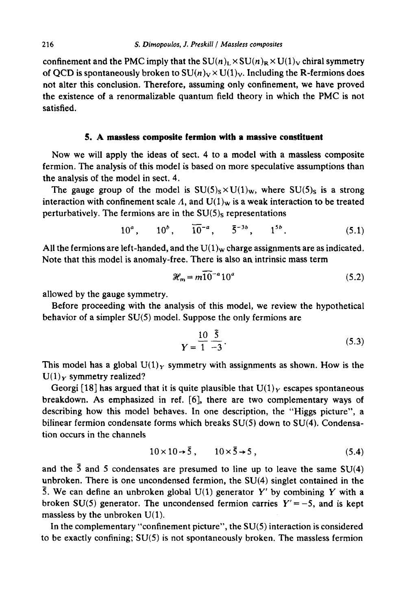confinement and the PMC imply that the  $SU(n)_L \times SU(n)_R \times U(1)_V$  chiral symmetry of QCD is spontaneously broken to  $SU(n)_V \times U(1)_V$ . Including the R-fermions does not alter this conclusion. Therefore, assuming only confinement, we have proved the existence of a renormalizable quantum field theory in which the PMC is not satisfied.

## **5. A massless composite fermion with a massive constituent**

Now we will apply the ideas of sect. 4 to a model with a massless composite fermion. The analysis of this model is based on more speculative assumptions than the analysis of the model in sect. 4.

The gauge group of the model is  $SU(5)_S \times U(1)_W$ , where  $SU(5)_S$  is a strong interaction with confinement scale  $\Lambda$ , and  $U(1)_w$  is a weak interaction to be treated perturbatively. The fermions are in the  $SU(5)_S$  representations

$$
10^a, \qquad 10^b, \qquad \overline{10}^{-a}, \qquad \overline{5}^{-3b}, \qquad 1^{5b}. \tag{5.1}
$$

All the fermions are left-handed, and the  $U(1)_w$  charge assignments are as indicated. Note that this model is anomaly-free. There is also an intrinsic mass term

$$
\mathcal{H}_{\mathsf{m}} = m \overline{10}^{-a} 10^{a} \tag{5.2}
$$

allowed by the gauge symmetry.

Before proceeding with the analysis of this model, we review the hypothetical behavior of a simpler SU(5) model. Suppose the only fermions are

$$
Y = \frac{10}{1} \frac{\bar{5}}{-3}.
$$
 (5.3)

This model has a global  $U(1)_Y$  symmetry with assignments as shown. How is the  $U(1)_Y$  symmetry realized?

Georgi [18] has argued that it is quite plausible that  $U(1)_Y$  escapes spontaneous breakdown. As emphasized in ref. [6], there are two complementary ways of describing how this model behaves. In one description, the "Higgs picture", a bilinear fermion condensate forms which breaks SU(5) down to SU(4). Condensation occurs in the channels

$$
10 \times 10 \rightarrow \bar{5}, \qquad 10 \times \bar{5} \rightarrow 5, \tag{5.4}
$$

and the  $\bar{5}$  and 5 condensates are presumed to line up to leave the same SU(4) unbroken. There is one uncondensed fermion, the SU(4) singlet contained in the 5. We can define an unbroken global  $U(1)$  generator Y' by combining Y with a broken SU(5) generator. The uncondensed fermion carries  $Y'=-5$ , and is kept massless by the unbroken U(1).

In the complementary "confinement picture", the  $SU(5)$  interaction is considered to be exactly confining; SU(5) is not spontaneously broken. The massless fermion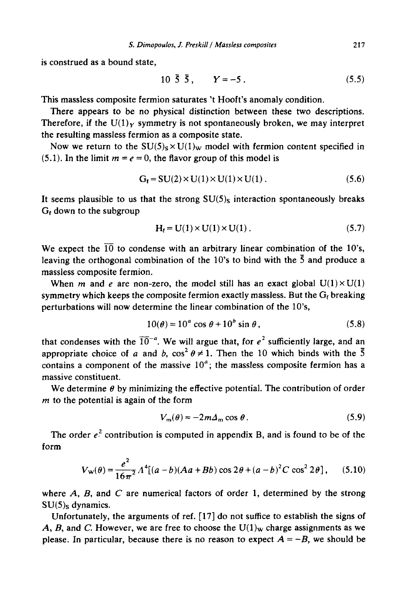is construed as a bound state,

$$
10\ \bar{5}\ \bar{5}\,,\qquad Y=-5\,. \tag{5.5}
$$

This massless composite fermion saturates 't Hooft's anomaly condition.

There appears to be no physical distinction between these two descriptions. Therefore, if the U(1)<sub>Y</sub> symmetry is not spontaneously broken, we may interpret the resulting massless fermion as a composite state.

Now we return to the  $SU(5)_S \times U(1)_W$  model with fermion content specified in (5.1). In the limit  $m = e = 0$ , the flavor group of this model is

$$
G_f = SU(2) \times U(1) \times U(1) \times U(1) . \tag{5.6}
$$

It seems plausible to us that the strong  $SU(5)$ <sub>S</sub> interaction spontaneously breaks  $G_f$  down to the subgroup

$$
H_t = U(1) \times U(1) \times U(1) \tag{5.7}
$$

We expect the  $\overline{10}$  to condense with an arbitrary linear combination of the 10's, leaving the orthogonal combination of the 10's to bind with the  $\bar{5}$  and produce a massless composite fermion.

When m and e are non-zero, the model still has an exact global  $U(1) \times U(1)$ symmetry which keeps the composite fermion exactly massless. But the  $G_t$  breaking perturbations will now determine the linear combination of the 10's,

$$
10(\theta) = 10^a \cos \theta + 10^b \sin \theta, \qquad (5.8)
$$

that condenses with the  $\overline{10}^{-a}$ . We will argue that, for  $e^2$  sufficiently large, and an appropriate choice of a and b,  $\cos^2 \theta \neq 1$ . Then the 10 which binds with the  $\overline{5}$ contains a component of the massive  $10^a$ ; the massless composite fermion has a massive constituent.

We determine  $\theta$  by minimizing the effective potential. The contribution of order  $m$  to the potential is again of the form

$$
V_{\rm m}(\theta) = -2m\Delta_{\rm m} \cos \theta \,. \tag{5.9}
$$

The order  $e^2$  contribution is computed in appendix B, and is found to be of the form

$$
V_{\mathbf{w}}(\theta) = \frac{e^2}{16\pi^2} \Lambda^4 [(a-b)(Aa + Bb)\cos 2\theta + (a-b)^2 C \cos^2 2\theta], \quad (5.10)
$$

where  $A$ ,  $B$ , and  $C$  are numerical factors of order 1, determined by the strong  $SU(5)_{S}$  dynamics.

Unfortunately, the arguments of ref. [17] do not suffice to establish the signs of A, B, and C. However, we are free to choose the  $U(1)_W$  charge assignments as we please. In particular, because there is no reason to expect  $A = -B$ , we should be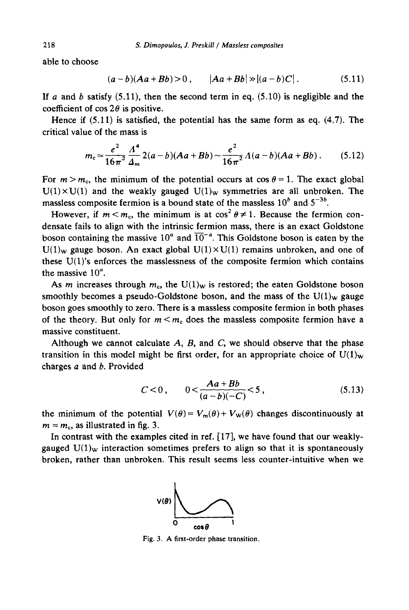able to choose

$$
(a-b)(Aa+Bb) > 0, \qquad |Aa+Bb| \gg |(a-b)C|.
$$
 (5.11)

If a and b satisfy  $(5.11)$ , then the second term in eq.  $(5.10)$  is negligible and the coefficient of  $\cos 2\theta$  is positive.

Hence if  $(5.11)$  is satisfied, the potential has the same form as eq.  $(4.7)$ . The critical value of the mass is

$$
m_c \approx \frac{e^2}{16\pi^2} \frac{A^4}{\Delta_m} 2(a-b)(Aa+Bb) \sim \frac{e^2}{16\pi^2} A(a-b)(Aa+Bb). \tag{5.12}
$$

For  $m > m_c$ , the minimum of the potential occurs at  $\cos \theta = 1$ . The exact global  $U(1)\times U(1)$  and the weakly gauged  $U(1)_W$  symmetries are all unbroken. The massless composite fermion is a bound state of the massless  $10<sup>b</sup>$  and  $5<sup>-3b</sup>$ .

However, if  $m < m_c$ , the minimum is at  $cos^2 \theta \neq 1$ . Because the fermion condensate fails to align with the intrinsic fermion mass, there is an exact Goldstone boson containing the massive 10<sup> $a$ </sup> and  $\overline{10}^{-a}$ . This Goldstone boson is eaten by the  $U(1)_{w}$  gauge boson. An exact global  $U(1)\times U(1)$  remains unbroken, and one of these U(1)'s enforces the masslessness of the composite fermion which contains the massive  $10^{\circ}$ .

As m increases through  $m_c$ , the U(1)<sub>W</sub> is restored; the eaten Goldstone boson smoothly becomes a pseudo-Goldstone boson, and the mass of the  $U(1)_w$  gauge boson goes smoothly to zero. There is a massless composite fermion in both phases of the theory. But only for  $m < m_c$  does the massless composite fermion have a massive constituent.

Although we cannot calculate  $A$ ,  $B$ , and  $C$ , we should observe that the phase transition in this model might be first order, for an appropriate choice of  $U(1)_w$ charges a and b. Provided

$$
C < 0, \qquad 0 < \frac{Aa + Bb}{(a - b)(-C)} < 5 \,, \tag{5.13}
$$

the minimum of the potential  $V(\theta) = V_m(\theta) + V_w(\theta)$  changes discontinuously at  $m = m_c$ , as illustrated in fig. 3.

In contrast with the examples cited in ref. [17], we have found that our weaklygauged  $U(1)_w$  interaction sometimes prefers to align so that it is spontaneously broken, rather than unbroken. This result seems less counter-intuitive when we



Fig. 3. A first-order phase transition.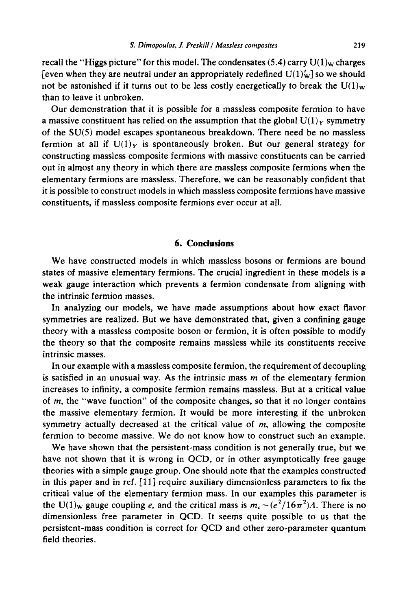recall the "Higgs picture" for this model. The condensates (5.4) carry  $U(1)_w$  charges [even when they are neutral under an appropriately redefined  $U(1)'_w$ ] so we should not be astonished if it turns out to be less costly energetically to break the  $U(1)_w$ than to leave it unbroken.

Our demonstration that it is possible for a massless composite fermion to have a massive constituent has relied on the assumption that the global  $U(1)_Y$  symmetry of the SU(5) model escapes spontaneous breakdown. There need be no massless fermion at all if  $U(1)_Y$  is spontaneously broken. But our general strategy for constructing massless composite fermions with massive constituents can be carried out in almost any theory in which there are massless composite fermions when the elementary fermions are massless. Therefore, we can be reasonably confident that it is possible to construct models in which massless composite fermions have massive constituents, if massless composite fermions ever occur at all.

# **6. Conclusions**

We have constructed models in which massless bosons or fermions are bound states of massive elementary fermions. The crucial ingredient in these models is a weak gauge interaction which prevents a fermion condensate from aligning with the intrinsic fermion masses.

In analyzing our models, we have made assumptions about how exact flavor symmetries are realized. But we have demonstrated that, given a confining gauge theory with a massless composite boson or fermion, it is often possible to modify the theory so that the composite remains massless while its constituents receive intrinsic masses.

In our example with a massless composite, fermion, the requirement of decoupling is satisfied in an unusual way. As the intrinsic mass  $m$  of the elementary fermion increases to infinity, a composite fermion remains massless. But at a critical value of  $m$ , the "wave function" of the composite changes, so that it no longer contains the massive elementary fermion. It would be more interesting if the unbroken symmetry actually decreased at the critical value of  $m$ , allowing the composite fermion to become massive. We do not know how to construct such an example.

We have shown that the persistent-mass condition is not generally true, but we have not shown that it is wrong in QCD, or in other asymptotically free gauge theories with a simple gauge group. One should note that the examples constructed in this paper and in ref. [11] require auxiliary dimensionless parameters to fix the critical value of the elementary fermion mass. In our examples this parameter is the U(1)<sub>w</sub> gauge coupling e, and the critical mass is  $m_c \sim (e^2/16\pi^2)$ *A*. There is no dimensionless free parameter in QCD. It seems quite possible to us that the persistent-mass condition is correct for QCD and other zero-parameter quantum field theories.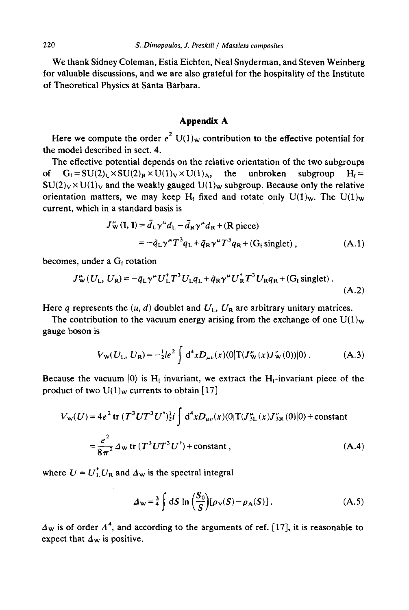We thank Sidney Coleman, Estia Eichten, Neal Snyderman, and Steven Weinberg for valuable discussions, and we are also grateful for the hospitality of the Institute of Theoretical Physics at Santa Barbara.

## **Appendix A**

Here we compute the order  $e^2$  U(1)<sub>w</sub> contribution to the effective potential for the model described in sect. 4.

The effective potential depends on the relative orientation of the two subgroups of  $G_f = SU(2)_L \times SU(2)_R \times U(1)_V \times U(1)_A$ , the unbroken subgroup  $H_f =$  $SU(2)_V \times U(1)_V$  and the weakly gauged  $U(1)_W$  subgroup. Because only the relative orientation matters, we may keep H<sub>t</sub> fixed and rotate only  $U(1)_w$ . The  $U(1)_w$ current, which in a standard basis is

$$
J_{\mathbf{w}}^{a}(1, 1) = \bar{d}_{L} \gamma^{\mu} d_{L} - \bar{d}_{R} \gamma^{\mu} d_{R} + (\mathbf{R} \text{ piece})
$$
  
=  $-\bar{q}_{L} \gamma^{\mu} T^{3} q_{L} + \bar{q}_{R} \gamma^{\mu} T^{3} q_{R} + (\mathbf{G}_{f} \text{ singlet}),$  (A.1)

becomes, under a  $G_f$  rotation

$$
J_{\mathbf{w}}^{\mu}(U_{\mathbf{L}}, U_{\mathbf{R}}) = -\bar{q}_{\mathbf{L}}\gamma^{\mu}U_{\mathbf{L}}^{\dagger}T^{3}U_{\mathbf{L}}q_{\mathbf{L}} + \bar{q}_{\mathbf{R}}\gamma^{\mu}U_{\mathbf{R}}^{\dagger}T^{3}U_{\mathbf{R}}q_{\mathbf{R}} + (G_{\mathbf{f}}\,\text{singlet})\,.
$$
\n(A.2)

Here q represents the  $(u, d)$  doublet and  $U_L$ ,  $U_R$  are arbitrary unitary matrices.

The contribution to the vacuum energy arising from the exchange of one  $U(1)_w$ gauge boson is

$$
V_{\mathbf{W}}(U_{\mathbf{L}}, U_{\mathbf{R}}) = -\frac{1}{2}ie^2 \int d^4x D_{\mu\nu}(x) \langle 0|T(J_{\mathbf{W}}^{\mu}(x)J_{\mathbf{W}}^{\nu}(0))|0\rangle.
$$
 (A.3)

Because the vacuum  $|0\rangle$  is H<sub>t</sub> invariant, we extract the H<sub>t</sub>-invariant piece of the product of two  $U(1)_W$  currents to obtain [17]

$$
V_{\rm w}(U) = 4e^{2} \text{ tr } (T^{3}UT^{3}U^{\dagger})_{2}^{1} i \int d^{4}x D_{\mu\nu}(x) \langle 0|T(J_{3L}^{\mu}(x)J_{3R}^{\nu}(0)|0\rangle + \text{constant}
$$
  

$$
= \frac{e^{2}}{8\pi^{2}} \Delta_{\rm w} \text{ tr } (T^{3}UT^{3}U^{\dagger}) + \text{constant}, \qquad (A.4)
$$

where  $U = U_L^{\dagger} U_R$  and  $\Delta_W$  is the spectral integral

$$
\Delta_{\mathbf{W}} = \frac{3}{4} \int dS \ln \left( \frac{S_0}{S} \right) [\rho_{\mathbf{V}}(S) - \rho_{\mathbf{A}}(S)]. \tag{A.5}
$$

 $\Delta_{\rm w}$  is of order  $\Lambda^4$ , and according to the arguments of ref. [17], it is reasonable to expect that  $\Delta_{\rm w}$  is positive.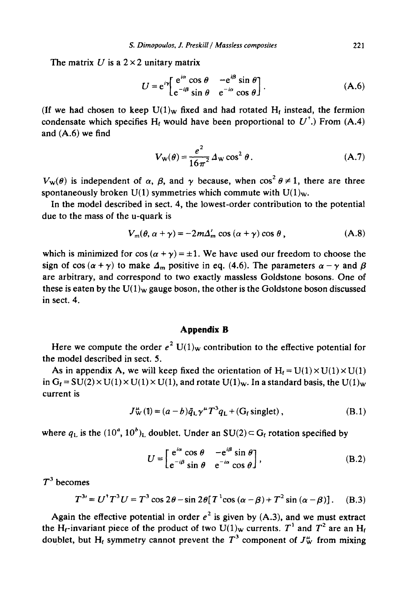The matrix U is a  $2 \times 2$  unitary matrix

$$
U = e^{i\gamma} \left[ \frac{e^{i\alpha} \cos \theta}{e^{-i\beta} \sin \theta} - \frac{e^{i\beta} \sin \theta}{e^{-i\alpha} \cos \theta} \right].
$$
 (A.6)

(If we had chosen to keep  $U(1)_w$  fixed and had rotated  $H_t$  instead, the fermion condensate which specifies H<sub>t</sub> would have been proportional to  $U^{\dagger}$ .) From (A.4) and (A.6) we find

$$
V_{\mathbf{W}}(\theta) = \frac{e^2}{16\pi^2} \Delta_{\mathbf{W}} \cos^2 \theta.
$$
 (A.7)

 $V_w(\theta)$  is independent of  $\alpha$ ,  $\beta$ , and  $\gamma$  because, when  $\cos^2 \theta \neq 1$ , there are three spontaneously broken  $U(1)$  symmetries which commute with  $U(1)<sub>w</sub>$ .

In the model described in sect. 4, the lowest-order contribution to the potential due to the mass of the u-quark is

$$
V_m(\theta, \alpha + \gamma) = -2m\Delta'_m \cos(\alpha + \gamma) \cos \theta, \qquad (A.8)
$$

which is minimized for cos  $(a + \gamma) = \pm 1$ . We have used our freedom to choose the sign of cos ( $\alpha + \gamma$ ) to make  $\Delta_m$  positive in eq. (4.6). The parameters  $\alpha - \gamma$  and  $\beta$ are arbitrary, and correspond to two exactly massless Goldstone bosons. One of these is eaten by the  $U(1)_W$  gauge boson, the other is the Goldstone boson discussed in sect. 4.

#### **Appendix B**

Here we compute the order  $e^2$  U(1)<sub>w</sub> contribution to the effective potential for the model described in sect. 5.

As in appendix A, we will keep fixed the orientation of  $H_f = U(1) \times U(1) \times U(1)$ in  $G_t = SU(2) \times U(1) \times U(1) \times U(1)$ , and rotate  $U(1)_w$ . In a standard basis, the  $U(1)_w$ current is

$$
J_{\mathbf{W}}^{\mu}(\mathbf{I}) = (a - b)\bar{q}_{\mathbf{L}}\gamma^{\mu}T^3q_{\mathbf{L}} + (G_{\mathbf{f}}\,\text{singlet})\,,\tag{B.1}
$$

where  $q_L$  is the  $(10^a, 10^b)_L$  doublet. Under an SU(2)  $\subset$  G<sub>f</sub> rotation specified by

$$
U = \begin{bmatrix} e^{i\alpha} \cos \theta & -e^{i\beta} \sin \theta \\ e^{-i\beta} \sin \theta & e^{-i\alpha} \cos \theta \end{bmatrix},
$$
 (B.2)

 $T^3$  becomes

$$
T^{3} = U^{\dagger} T^{3} U = T^{3} \cos 2\theta - \sin 2\theta [T^{1} \cos (\alpha - \beta) + T^{2} \sin (\alpha - \beta)]. \quad (B.3)
$$

Again the effective potential in order  $e^2$  is given by (A.3), and we must extract the H<sub>t</sub>-invariant piece of the product of two U(1)<sub>w</sub> currents. T<sup>1</sup> and T<sup>2</sup> are an H<sub>t</sub> doublet, but H<sub>t</sub> symmetry cannot prevent the  $T^3$  component of  $J_{\rm w}^{\mu}$  from mixing